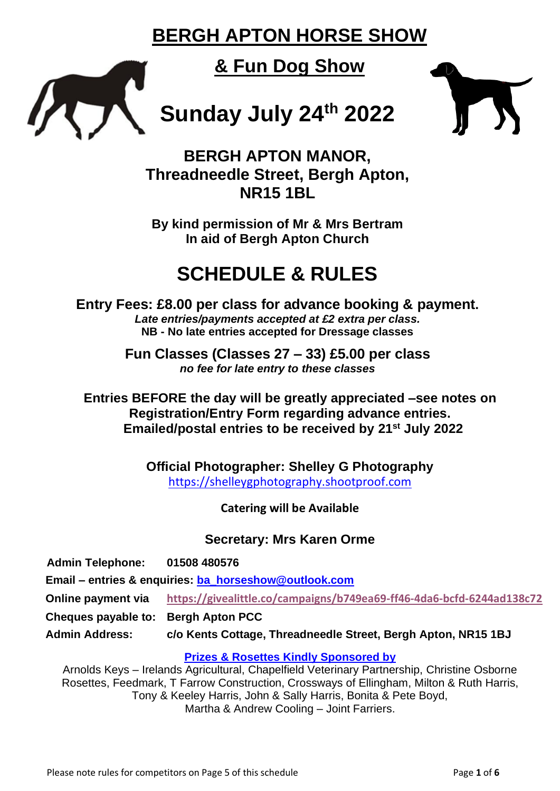# **BERGH APTON HORSE SHOW**

# **& Fun Dog Show**

# **Sunday July 24th 2022**



**BERGH APTON MANOR, Threadneedle Street, Bergh Apton, NR15 1BL**

**By kind permission of Mr & Mrs Bertram In aid of Bergh Apton Church**

# **SCHEDULE & RULES**

**Entry Fees: £8.00 per class for advance booking & payment.** *Late entries/payments accepted at £2 extra per class.* **NB - No late entries accepted for Dressage classes**

> **Fun Classes (Classes 27 – 33) £5.00 per class** *no fee for late entry to these classes*

**Entries BEFORE the day will be greatly appreciated –see notes on Registration/Entry Form regarding advance entries. Emailed/postal entries to be received by 21st July 2022**

> **Official Photographer: Shelley G Photography** [https://shelleygphotography.shootproof.com](https://shelleygphotography.shootproof.com/)

> > **Catering will be Available**

**Secretary: Mrs Karen Orme**

| <b>Admin Telephone:</b>                               | 01508 480576                                                          |
|-------------------------------------------------------|-----------------------------------------------------------------------|
| Email – entries & enquiries: ba_horseshow@outlook.com |                                                                       |
| Online payment via                                    | https://givealittle.co/campaigns/b749ea69-ff46-4da6-bcfd-6244ad138c72 |
| Cheques payable to: Bergh Apton PCC                   |                                                                       |
| <b>Admin Address:</b>                                 | c/o Kents Cottage, Threadneedle Street, Bergh Apton, NR15 1BJ         |
|                                                       |                                                                       |

## **Prizes & Rosettes Kindly Sponsored by**

Arnolds Keys – Irelands Agricultural, Chapelfield Veterinary Partnership, Christine Osborne Rosettes, Feedmark, T Farrow Construction, Crossways of Ellingham, Milton & Ruth Harris, Tony & Keeley Harris, John & Sally Harris, Bonita & Pete Boyd, Martha & Andrew Cooling – Joint Farriers.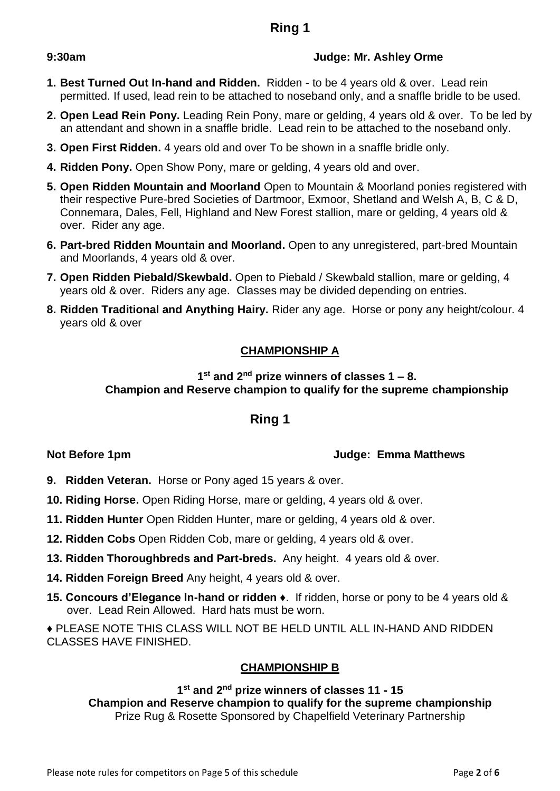# **Ring 1**

#### **9:30am Judge: Mr. Ashley Orme**

- **1. Best Turned Out In-hand and Ridden.** Ridden to be 4 years old & over. Lead rein permitted. If used, lead rein to be attached to noseband only, and a snaffle bridle to be used.
- **2. Open Lead Rein Pony.** Leading Rein Pony, mare or gelding, 4 years old & over. To be led by an attendant and shown in a snaffle bridle. Lead rein to be attached to the noseband only.
- **3. Open First Ridden.** 4 years old and over To be shown in a snaffle bridle only.
- **4. Ridden Pony.** Open Show Pony, mare or gelding, 4 years old and over.
- **5. Open Ridden Mountain and Moorland** Open to Mountain & Moorland ponies registered with their respective Pure-bred Societies of Dartmoor, Exmoor, Shetland and Welsh A, B, C & D, Connemara, Dales, Fell, Highland and New Forest stallion, mare or gelding, 4 years old & over. Rider any age.
- **6. Part-bred Ridden Mountain and Moorland.** Open to any unregistered, part-bred Mountain and Moorlands, 4 years old & over.
- **7. Open Ridden Piebald/Skewbald.** Open to Piebald / Skewbald stallion, mare or gelding, 4 years old & over. Riders any age. Classes may be divided depending on entries.
- **8. Ridden Traditional and Anything Hairy.** Rider any age. Horse or pony any height/colour. 4 years old & over

## **CHAMPIONSHIP A**

#### **1 st and 2nd prize winners of classes 1 – 8. Champion and Reserve champion to qualify for the supreme championship**

# **Ring 1**

### **Not Before 1pm Judge: Emma Matthews**

- **9. Ridden Veteran.** Horse or Pony aged 15 years & over.
- **10. Riding Horse.** Open Riding Horse, mare or gelding, 4 years old & over.
- **11. Ridden Hunter** Open Ridden Hunter, mare or gelding, 4 years old & over.
- **12. Ridden Cobs** Open Ridden Cob, mare or gelding, 4 years old & over.
- **13. Ridden Thoroughbreds and Part-breds.** Any height. 4 years old & over.
- **14. Ridden Foreign Breed** Any height, 4 years old & over.
- **15. Concours d'Elegance In-hand or ridden ♦**. If ridden, horse or pony to be 4 years old & over. Lead Rein Allowed. Hard hats must be worn.

**♦** PLEASE NOTE THIS CLASS WILL NOT BE HELD UNTIL ALL IN-HAND AND RIDDEN CLASSES HAVE FINISHED.

## **CHAMPIONSHIP B**

### **1 st and 2nd prize winners of classes 11 - 15**

**Champion and Reserve champion to qualify for the supreme championship** Prize Rug & Rosette Sponsored by Chapelfield Veterinary Partnership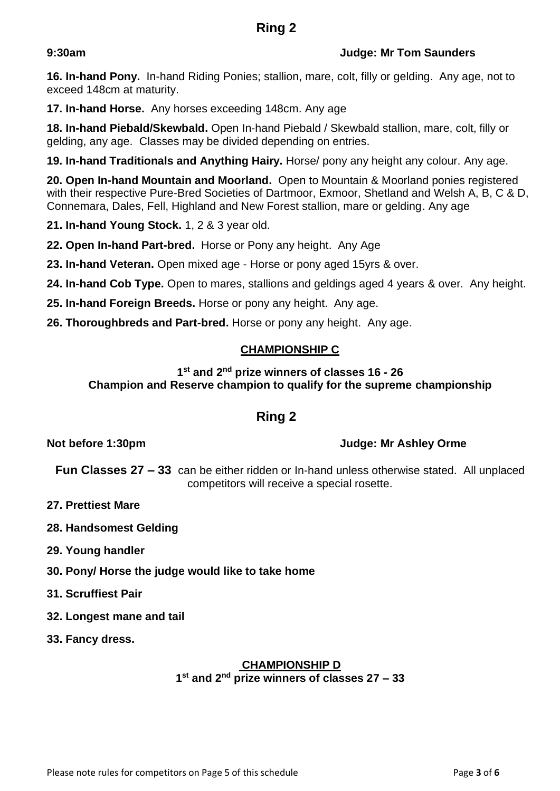## **9:30am Judge: Mr Tom Saunders**

**16. In-hand Pony.** In-hand Riding Ponies; stallion, mare, colt, filly or gelding. Any age, not to exceed 148cm at maturity.

**17. In-hand Horse.** Any horses exceeding 148cm. Any age

**18. In-hand Piebald/Skewbald.** Open In-hand Piebald / Skewbald stallion, mare, colt, filly or gelding, any age. Classes may be divided depending on entries.

**19. In-hand Traditionals and Anything Hairy.** Horse/ pony any height any colour. Any age.

**20. Open In-hand Mountain and Moorland.** Open to Mountain & Moorland ponies registered with their respective Pure-Bred Societies of Dartmoor, Exmoor, Shetland and Welsh A, B, C & D, Connemara, Dales, Fell, Highland and New Forest stallion, mare or gelding. Any age

**21. In-hand Young Stock.** 1, 2 & 3 year old.

**22. Open In-hand Part-bred.** Horse or Pony any height. Any Age

**23. In-hand Veteran.** Open mixed age - Horse or pony aged 15yrs & over.

**24. In-hand Cob Type.** Open to mares, stallions and geldings aged 4 years & over. Any height.

**25. In-hand Foreign Breeds.** Horse or pony any height. Any age.

**26. Thoroughbreds and Part-bred.** Horse or pony any height. Any age.

## **CHAMPIONSHIP C**

### **1 st and 2nd prize winners of classes 16 - 26 Champion and Reserve champion to qualify for the supreme championship**

# **Ring 2**

## **Not before 1:30pm Judge: Mr Ashley Orme**

**Fun Classes 27 – 33** can be either ridden or In-hand unless otherwise stated. All unplaced competitors will receive a special rosette.

- **27. Prettiest Mare**
- **28. Handsomest Gelding**
- **29. Young handler**
- **30. Pony/ Horse the judge would like to take home**
- **31. Scruffiest Pair**
- **32. Longest mane and tail**
- **33. Fancy dress.**

#### **CHAMPIONSHIP D 1 st and 2nd prize winners of classes 27 – 33**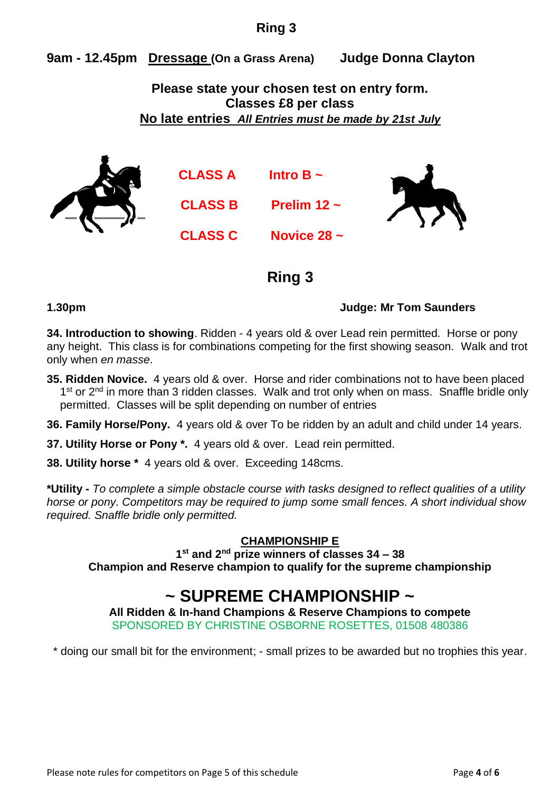# **Ring 3**

**9am - 12.45pm Dressage (On a Grass Arena) Judge Donna Clayton**

**Please state your chosen test on entry form. Classes £8 per class No late entries** *All Entries must be made by 21st July*



**CLASS A Intro B ~**

**CLASS B Prelim 12 ~**

**CLASS C Novice 28 ~**



# **Ring 3**

## **1.30pm Judge: Mr Tom Saunders**

**34. Introduction to showing**. Ridden - 4 years old & over Lead rein permitted. Horse or pony any height. This class is for combinations competing for the first showing season. Walk and trot only when *en masse*.

- **35. Ridden Novice.** 4 years old & over. Horse and rider combinations not to have been placed 1<sup>st</sup> or 2<sup>nd</sup> in more than 3 ridden classes. Walk and trot only when on mass. Snaffle bridle only permitted. Classes will be split depending on number of entries
- **36. Family Horse/Pony.** 4 years old & over To be ridden by an adult and child under 14 years.
- **37. Utility Horse or Pony \*.** 4 years old & over. Lead rein permitted.
- **38. Utility horse \*** 4 years old & over. Exceeding 148cms.

**\*Utility -** *To complete a simple obstacle course with tasks designed to reflect qualities of a utility horse or pony. Competitors may be required to jump some small fences. A short individual show required. Snaffle bridle only permitted.* 

# **CHAMPIONSHIP E**

**1 st and 2nd prize winners of classes 34 – 38 Champion and Reserve champion to qualify for the supreme championship**

# **~ SUPREME CHAMPIONSHIP ~**

**All Ridden & In-hand Champions & Reserve Champions to compete** SPONSORED BY CHRISTINE OSBORNE ROSETTES, 01508 480386

\* doing our small bit for the environment; - small prizes to be awarded but no trophies this year.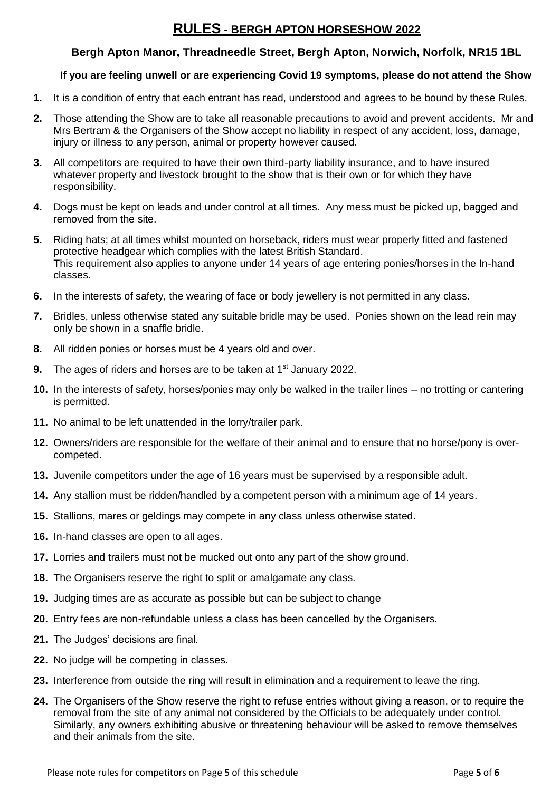# **RULES - BERGH APTON HORSESHOW 2022**

#### **Bergh Apton Manor, Threadneedle Street, Bergh Apton, Norwich, Norfolk, NR15 1BL**

#### **If you are feeling unwell or are experiencing Covid 19 symptoms, please do not attend the Show**

- **1.** It is a condition of entry that each entrant has read, understood and agrees to be bound by these Rules.
- **2.** Those attending the Show are to take all reasonable precautions to avoid and prevent accidents. Mr and Mrs Bertram & the Organisers of the Show accept no liability in respect of any accident, loss, damage, injury or illness to any person, animal or property however caused.
- **3.** All competitors are required to have their own third-party liability insurance, and to have insured whatever property and livestock brought to the show that is their own or for which they have responsibility.
- **4.** Dogs must be kept on leads and under control at all times. Any mess must be picked up, bagged and removed from the site.
- **5.** Riding hats; at all times whilst mounted on horseback, riders must wear properly fitted and fastened protective headgear which complies with the latest British Standard. This requirement also applies to anyone under 14 years of age entering ponies/horses in the In-hand classes.
- **6.** In the interests of safety, the wearing of face or body jewellery is not permitted in any class.
- **7.** Bridles, unless otherwise stated any suitable bridle may be used. Ponies shown on the lead rein may only be shown in a snaffle bridle.
- **8.** All ridden ponies or horses must be 4 years old and over.
- **9.** The ages of riders and horses are to be taken at 1<sup>st</sup> January 2022.
- **10.** In the interests of safety, horses/ponies may only be walked in the trailer lines no trotting or cantering is permitted.
- **11.** No animal to be left unattended in the lorry/trailer park.
- **12.** Owners/riders are responsible for the welfare of their animal and to ensure that no horse/pony is overcompeted.
- **13.** Juvenile competitors under the age of 16 years must be supervised by a responsible adult.
- **14.** Any stallion must be ridden/handled by a competent person with a minimum age of 14 years.
- **15.** Stallions, mares or geldings may compete in any class unless otherwise stated.
- **16.** In-hand classes are open to all ages.
- **17.** Lorries and trailers must not be mucked out onto any part of the show ground.
- **18.** The Organisers reserve the right to split or amalgamate any class.
- **19.** Judging times are as accurate as possible but can be subject to change
- **20.** Entry fees are non-refundable unless a class has been cancelled by the Organisers.
- **21.** The Judges' decisions are final.
- **22.** No judge will be competing in classes.
- **23.** Interference from outside the ring will result in elimination and a requirement to leave the ring.
- **24.** The Organisers of the Show reserve the right to refuse entries without giving a reason, or to require the removal from the site of any animal not considered by the Officials to be adequately under control. Similarly, any owners exhibiting abusive or threatening behaviour will be asked to remove themselves and their animals from the site.